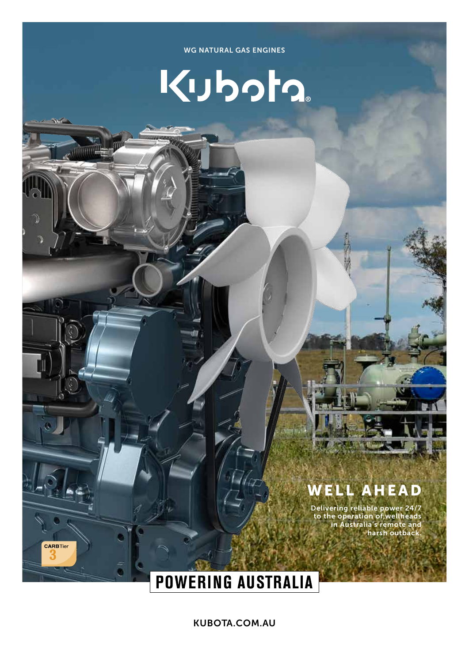#### WG NATURAL GAS ENGINES

# Kubota

### WELL AHEAD

Delivering reliable power 24/7 to the operation of wellheads in Australia's remote and harsh outback.

## **POWERING AUSTRALIA**

**CARBTier** 

KUBOTA.COM.AU